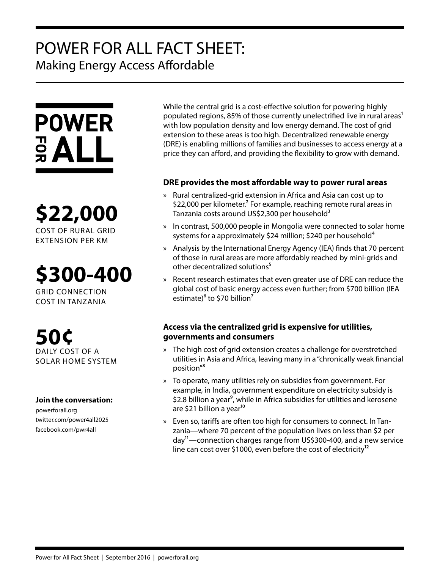# POWER FOR ALL FACT SHEET: Making Energy Access Affordable



**\$22,000** COST OF RURAL GRID EXTENSION PER KM

**\$300-400**

GRID CONNECTION COST IN TANZANIA

**50¢** DAILY COST OF A SOLAR HOME SYSTEM

### **Join the conversation:**

powerforall.org twitter.com/power4all2025 facebook.com/pwr4all

While the central grid is a cost-effective solution for powering highly populated regions, 85% of those currently unelectrified live in rural areas<sup>1</sup> with low population density and low energy demand. The cost of grid extension to these areas is too high. Decentralized renewable energy (DRE) is enabling millions of families and businesses to access energy at a price they can afford, and providing the flexibility to grow with demand.

# **DRE provides the most affordable way to power rural areas**

- » Rural centralized-grid extension in Africa and Asia can cost up to \$22,000 per kilometer.<sup>2</sup> For example, reaching remote rural areas in Tanzania costs around US\$2,300 per household<sup>3</sup>
- » In contrast, 500,000 people in Mongolia were connected to solar home systems for a approximately \$24 million; \$240 per household<sup>4</sup>
- » Analysis by the International Energy Agency (IEA) finds that 70 percent of those in rural areas are more affordably reached by mini-grids and other decentralized solutions<sup>5</sup>
- » Recent research estimates that even greater use of DRE can reduce the global cost of basic energy access even further; from \$700 billion (IEA estimate) $6$  to \$70 billion<sup>7</sup>

# **Access via the centralized grid is expensive for utilities, governments and consumers**

- » The high cost of grid extension creates a challenge for overstretched utilities in Asia and Africa, leaving many in a "chronically weak financial position"<sup>8</sup>
- » To operate, many utilities rely on subsidies from government. For example, in India, government expenditure on electricity subsidy is \$2.8 billion a year<sup>9</sup>, while in Africa subsidies for utilities and kerosene are \$21 billion a year<sup>10</sup>
- » Even so, tariffs are often too high for consumers to connect. In Tanzania—where 70 percent of the population lives on less than \$2 per day11—connection charges range from US\$300-400, and a new service line can cost over \$1000, even before the cost of electricity<sup>12</sup>